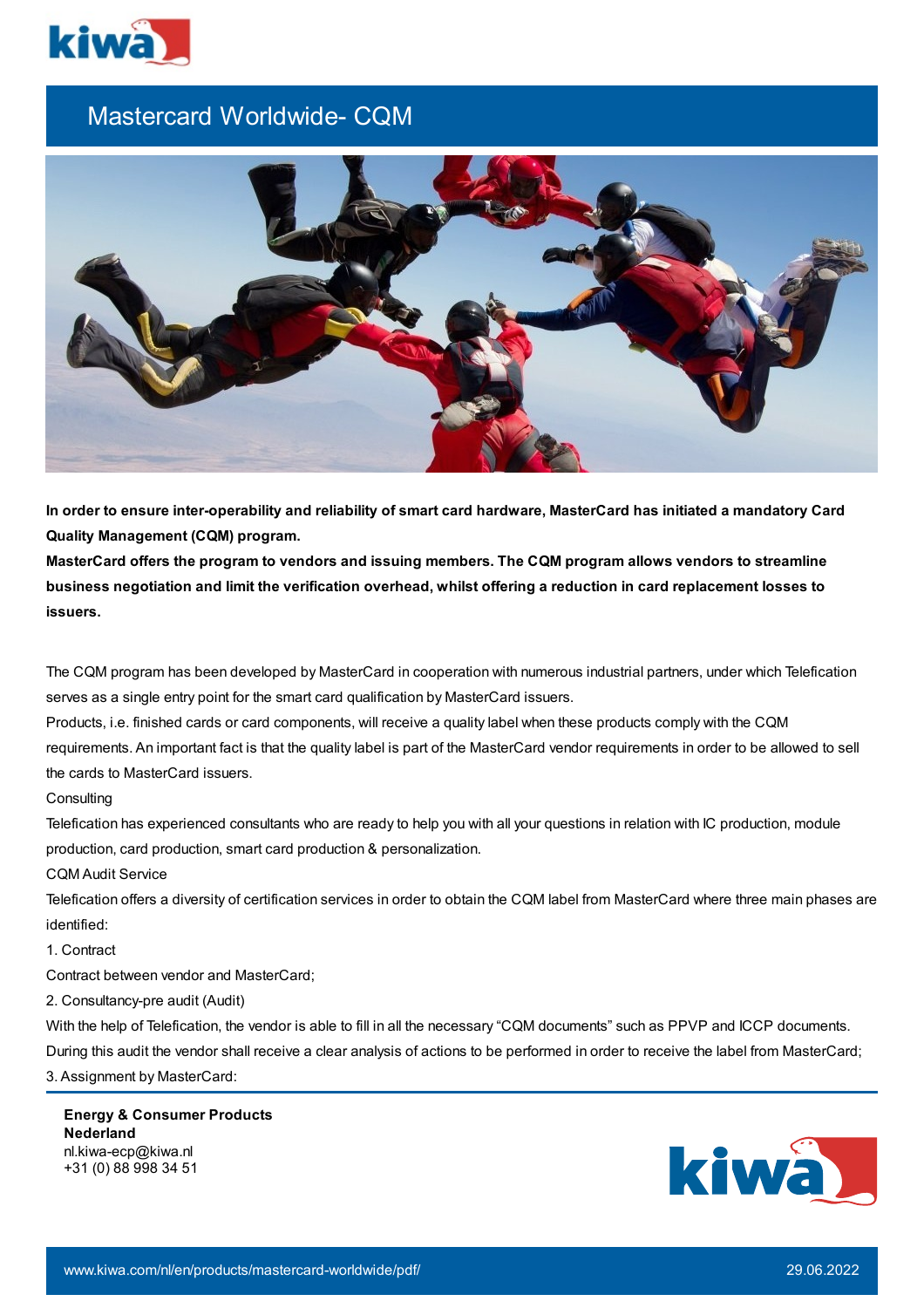

## Mastercard Worldwide- CQM



In order to ensure inter-operability and reliability of smart card hardware, MasterCard has initiated a mandatory Card **Quality Management (CQM) program.**

**MasterCard offers the program to vendors and issuing members. The CQM program allows vendors to streamline** business negotiation and limit the verification overhead, whilst offering a reduction in card replacement losses to **issuers.**

The CQM program has been developed by MasterCard in cooperation with numerous industrial partners, under which Telefication serves as a single entry point for the smart card qualification by MasterCard issuers.

Products, i.e. finished cards or card components, will receive a quality label when these products comply with the CQM requirements. An important fact is that the quality label is part of the MasterCard vendor requirements in order to be allowed to sell the cards to MasterCard issuers.

## **Consulting**

Telefication has experienced consultants who are ready to help you with all your questions in relation with IC production, module production, card production, smart card production & personalization.

## CQM Audit Service

Telefication offers a diversity of certification services in order to obtain the CQM label from MasterCard where three main phases are identified:

## 1. Contract

Contract between vendor and MasterCard;

2. Consultancy-pre audit (Audit)

With the help of Telefication, the vendor is able to fill in all the necessary "CQM documents" such as PPVP and ICCP documents.

During this audit the vendor shall receive a clear analysis of actions to be performed in order to receive the label from MasterCard;

3. Assignment by MasterCard:

**Energy & Consumer Products Nederland** nl.kiwa-ecp@kiwa.nl +31 (0) 88 998 34 51